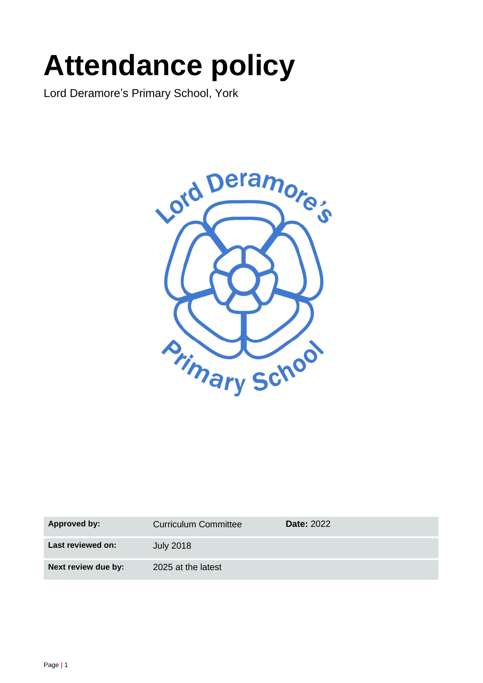# **Attendance policy**

Lord Deramore's Primary School, York



| <b>Approved by:</b> | Curriculum Committee | <b>Date: 2022</b> |
|---------------------|----------------------|-------------------|
| Last reviewed on:   | <b>July 2018</b>     |                   |
| Next review due by: | 2025 at the latest   |                   |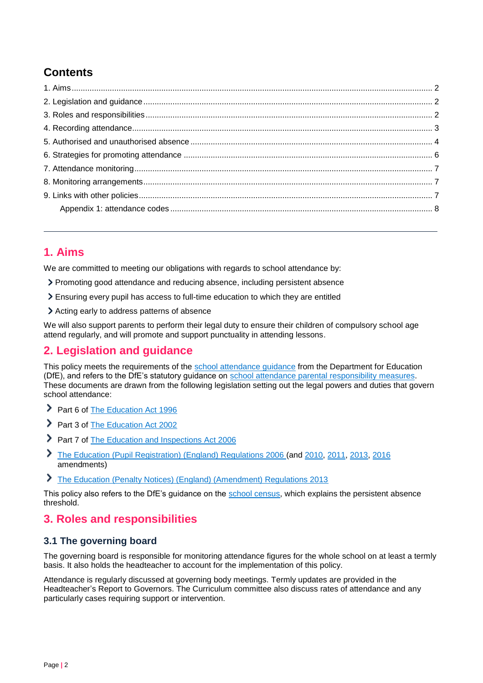## **Contents**

## <span id="page-1-0"></span>**1. Aims**

We are committed to meeting our obligations with regards to school attendance by:

- Promoting good attendance and reducing absence, including persistent absence
- Ensuring every pupil has access to full-time education to which they are entitled
- Acting early to address patterns of absence

We will also support parents to perform their legal duty to ensure their children of compulsory school age attend regularly, and will promote and support punctuality in attending lessons.

## <span id="page-1-1"></span>**2. Legislation and guidance**

This policy meets the requirements of the [school attendance guidance](https://www.gov.uk/government/publications/school-attendance) from the Department for Education (DfE), and refers to the DfE's statutory guidance on [school attendance parental responsibility](https://www.gov.uk/government/publications/parental-responsibility-measures-for-behaviour-and-attendance) measures. These documents are drawn from the following legislation setting out the legal powers and duties that govern school attendance:

- Part 6 of [The Education Act 1996](https://www.legislation.gov.uk/ukpga/1996/56/part/VI/chapter/II)
- Part 3 of [The Education Act 2002](http://www.legislation.gov.uk/ukpga/2002/32/part/3/chapter/3)
- Part 7 of [The Education and Inspections Act 2006](http://www.legislation.gov.uk/ukpga/2006/40/part/7/chapter/2/crossheading/school-attendance)
- ≻ [The Education \(Pupil Registration\) \(England\) Regulations 2006](http://www.legislation.gov.uk/uksi/2006/1751/contents/made) (and [2010,](https://www.legislation.gov.uk/uksi/2010/1725/regulation/2/made) [2011,](https://www.legislation.gov.uk/uksi/2011/1625/made) [2013,](https://www.legislation.gov.uk/uksi/2013/756/made) [2016](https://www.legislation.gov.uk/uksi/2016/792/made/data.html) amendments)
- [The Education \(Penalty Notices\) \(England\) \(Amendment\) Regulations 2013](https://www.legislation.gov.uk/uksi/2013/757/regulation/2/made)

This policy also refers to the DfE's guidance on the [school census,](https://www.gov.uk/guidance/complete-the-school-census) which explains the persistent absence threshold.

## <span id="page-1-2"></span>**3. Roles and responsibilities**

#### **3.1 The governing board**

The governing board is responsible for monitoring attendance figures for the whole school on at least a termly basis. It also holds the headteacher to account for the implementation of this policy.

Attendance is regularly discussed at governing body meetings. Termly updates are provided in the Headteacher's Report to Governors. The Curriculum committee also discuss rates of attendance and any particularly cases requiring support or intervention.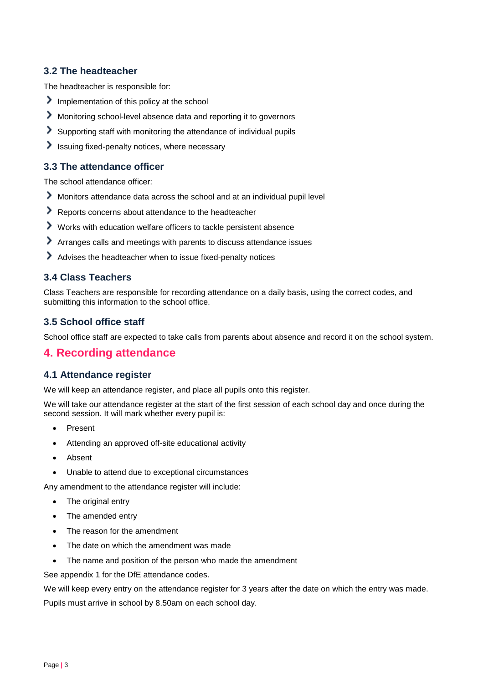#### **3.2 The headteacher**

The headteacher is responsible for:

- Implementation of this policy at the school
- Monitoring school-level absence data and reporting it to governors
- Supporting staff with monitoring the attendance of individual pupils
- $\blacktriangleright$  Issuing fixed-penalty notices, where necessary

#### **3.3 The attendance officer**

The school attendance officer:

- Monitors attendance data across the school and at an individual pupil level
- Reports concerns about attendance to the headteacher
- Works with education welfare officers to tackle persistent absence
- Arranges calls and meetings with parents to discuss attendance issues
- Advises the headteacher when to issue fixed-penalty notices

#### **3.4 Class Teachers**

Class Teachers are responsible for recording attendance on a daily basis, using the correct codes, and submitting this information to the school office.

#### **3.5 School office staff**

School office staff are expected to take calls from parents about absence and record it on the school system.

## <span id="page-2-0"></span>**4. Recording attendance**

#### **4.1 Attendance register**

We will keep an attendance register, and place all pupils onto this register.

We will take our attendance register at the start of the first session of each school day and once during the second session. It will mark whether every pupil is:

- Present
- Attending an approved off-site educational activity
- Absent
- Unable to attend due to exceptional circumstances

Any amendment to the attendance register will include:

- The original entry
- The amended entry
- The reason for the amendment
- The date on which the amendment was made
- The name and position of the person who made the amendment

See appendix 1 for the DfE attendance codes.

We will keep every entry on the attendance register for 3 years after the date on which the entry was made.

Pupils must arrive in school by 8.50am on each school day.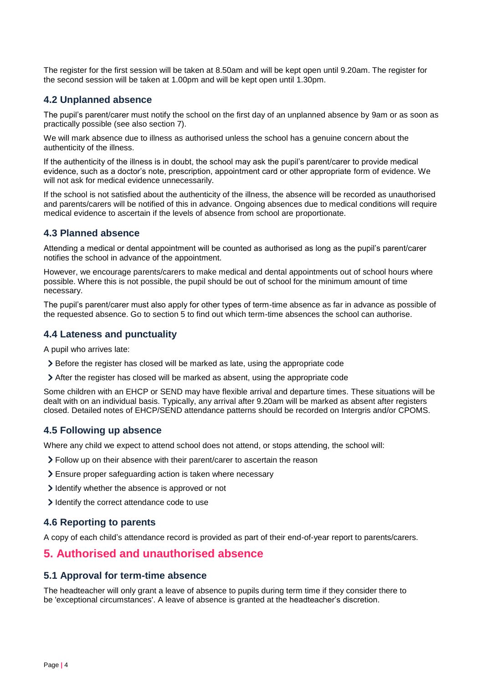The register for the first session will be taken at 8.50am and will be kept open until 9.20am. The register for the second session will be taken at 1.00pm and will be kept open until 1.30pm.

#### **4.2 Unplanned absence**

The pupil's parent/carer must notify the school on the first day of an unplanned absence by 9am or as soon as practically possible (see also section 7).

We will mark absence due to illness as authorised unless the school has a genuine concern about the authenticity of the illness.

If the authenticity of the illness is in doubt, the school may ask the pupil's parent/carer to provide medical evidence, such as a doctor's note, prescription, appointment card or other appropriate form of evidence. We will not ask for medical evidence unnecessarily.

If the school is not satisfied about the authenticity of the illness, the absence will be recorded as unauthorised and parents/carers will be notified of this in advance. Ongoing absences due to medical conditions will require medical evidence to ascertain if the levels of absence from school are proportionate.

#### **4.3 Planned absence**

Attending a medical or dental appointment will be counted as authorised as long as the pupil's parent/carer notifies the school in advance of the appointment.

However, we encourage parents/carers to make medical and dental appointments out of school hours where possible. Where this is not possible, the pupil should be out of school for the minimum amount of time necessary.

The pupil's parent/carer must also apply for other types of term-time absence as far in advance as possible of the requested absence. Go to section 5 to find out which term-time absences the school can authorise.

#### **4.4 Lateness and punctuality**

A pupil who arrives late:

- > Before the register has closed will be marked as late, using the appropriate code
- After the register has closed will be marked as absent, using the appropriate code

Some children with an EHCP or SEND may have flexible arrival and departure times. These situations will be dealt with on an individual basis. Typically, any arrival after 9.20am will be marked as absent after registers closed. Detailed notes of EHCP/SEND attendance patterns should be recorded on Intergris and/or CPOMS.

#### **4.5 Following up absence**

Where any child we expect to attend school does not attend, or stops attending, the school will:

- Follow up on their absence with their parent/carer to ascertain the reason
- Ensure proper safeguarding action is taken where necessary
- I dentify whether the absence is approved or not
- I dentify the correct attendance code to use

#### **4.6 Reporting to parents**

A copy of each child's attendance record is provided as part of their end-of-year report to parents/carers.

## <span id="page-3-0"></span>**5. Authorised and unauthorised absence**

#### **5.1 Approval for term-time absence**

The headteacher will only grant a leave of absence to pupils during term time if they consider there to be 'exceptional circumstances'. A leave of absence is granted at the headteacher's discretion.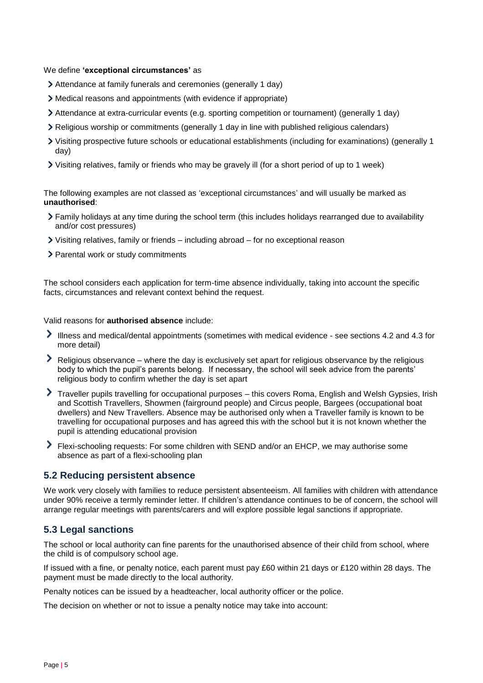#### We define **'exceptional circumstances'** as

- Attendance at family funerals and ceremonies (generally 1 day)
- Medical reasons and appointments (with evidence if appropriate)
- Attendance at extra-curricular events (e.g. sporting competition or tournament) (generally 1 day)
- Religious worship or commitments (generally 1 day in line with published religious calendars)
- Visiting prospective future schools or educational establishments (including for examinations) (generally 1 day)
- Visiting relatives, family or friends who may be gravely ill (for a short period of up to 1 week)

The following examples are not classed as 'exceptional circumstances' and will usually be marked as **unauthorised**:

- Family holidays at any time during the school term (this includes holidays rearranged due to availability and/or cost pressures)
- Visiting relatives, family or friends including abroad for no exceptional reason
- > Parental work or study commitments

The school considers each application for term-time absence individually, taking into account the specific facts, circumstances and relevant context behind the request.

#### Valid reasons for **authorised absence** include:

- Illness and medical/dental appointments (sometimes with medical evidence see sections 4.2 and 4.3 for more detail)
- $\blacktriangleright$  Religious observance where the day is exclusively set apart for religious observance by the religious body to which the pupil's parents belong. If necessary, the school will seek advice from the parents' religious body to confirm whether the day is set apart
- Traveller pupils travelling for occupational purposes this covers Roma, English and Welsh Gypsies, Irish and Scottish Travellers, Showmen (fairground people) and Circus people, Bargees (occupational boat dwellers) and New Travellers. Absence may be authorised only when a Traveller family is known to be travelling for occupational purposes and has agreed this with the school but it is not known whether the pupil is attending educational provision
- Flexi-schooling requests: For some children with SEND and/or an EHCP, we may authorise some absence as part of a flexi-schooling plan

#### **5.2 Reducing persistent absence**

We work very closely with families to reduce persistent absenteeism. All families with children with attendance under 90% receive a termly reminder letter. If children's attendance continues to be of concern, the school will arrange regular meetings with parents/carers and will explore possible legal sanctions if appropriate.

#### **5.3 Legal sanctions**

The school or local authority can fine parents for the unauthorised absence of their child from school, where the child is of compulsory school age.

If issued with a fine, or penalty notice, each parent must pay £60 within 21 days or £120 within 28 days. The payment must be made directly to the local authority.

Penalty notices can be issued by a headteacher, local authority officer or the police.

The decision on whether or not to issue a penalty notice may take into account: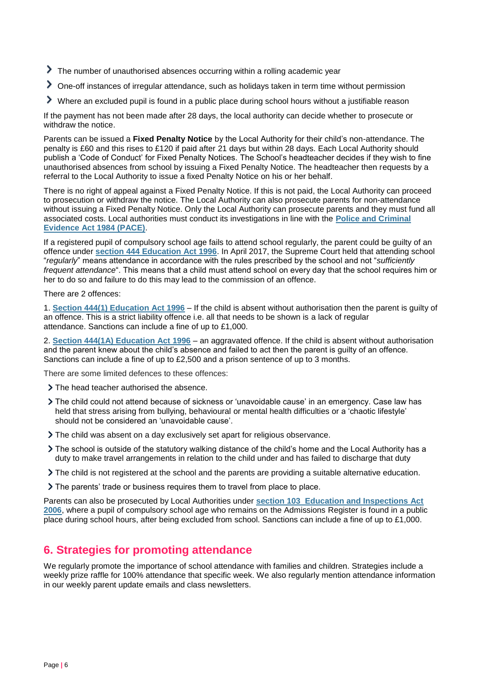- The number of unauthorised absences occurring within a rolling academic year
- One-off instances of irregular attendance, such as holidays taken in term time without permission
- Where an excluded pupil is found in a public place during school hours without a justifiable reason

If the payment has not been made after 28 days, the local authority can decide whether to prosecute or withdraw the notice.

Parents can be issued a **Fixed Penalty Notice** by the Local Authority for their child's non-attendance. The penalty is £60 and this rises to £120 if paid after 21 days but within 28 days. Each Local Authority should publish a 'Code of Conduct' for Fixed Penalty Notices. The School's headteacher decides if they wish to fine unauthorised absences from school by issuing a Fixed Penalty Notice. The headteacher then requests by a referral to the Local Authority to issue a fixed Penalty Notice on his or her behalf.

There is no right of appeal against a Fixed Penalty Notice. If this is not paid, the Local Authority can proceed to prosecution or withdraw the notice. The Local Authority can also prosecute parents for non-attendance without issuing a Fixed Penalty Notice. Only the Local Authority can prosecute parents and they must fund all associated costs. Local authorities must conduct its investigations in line with the **[Police and Criminal](http://www.legislation.gov.uk/ukpga/1984/60/contents)  [Evidence Act 1984](http://www.legislation.gov.uk/ukpga/1984/60/contents) (PACE)**.

If a registered pupil of compulsory school age fails to attend school regularly, the parent could be guilty of an offence under **[section 444 Education Act 1996](http://www.legislation.gov.uk/ukpga/1996/56/section/444)**. In April 2017, the Supreme Court held that attending school "*regularly*" means attendance in accordance with the rules prescribed by the school and not "*sufficiently frequent attendance*". This means that a child must attend school on every day that the school requires him or her to do so and failure to do this may lead to the commission of an offence.

There are 2 offences:

1. **[Section 444\(1\) Education Act 1996](http://www.legislation.gov.uk/ukpga/1996/56/section/444)** – If the child is absent without authorisation then the parent is guilty of an offence. This is a strict liability offence i.e. all that needs to be shown is a lack of regular attendance. Sanctions can include a fine of up to £1,000.

2. **[Section 444\(1A\) Education Act 1996](http://www.legislation.gov.uk/ukpga/1996/56/section/444)** – an aggravated offence. If the child is absent without authorisation and the parent knew about the child's absence and failed to act then the parent is guilty of an offence. Sanctions can include a fine of up to £2,500 and a prison sentence of up to 3 months.

There are some limited defences to these offences:

- The head teacher authorised the absence.
- The child could not attend because of sickness or 'unavoidable cause' in an emergency. Case law has held that stress arising from bullying, behavioural or mental health difficulties or a 'chaotic lifestyle' should not be considered an 'unavoidable cause'.
- The child was absent on a day exclusively set apart for religious observance.
- The school is outside of the statutory walking distance of the child's home and the Local Authority has a duty to make travel arrangements in relation to the child under and has failed to discharge that duty
- The child is not registered at the school and the parents are providing a suitable alternative education.
- The parents' trade or business requires them to travel from place to place.

Parents can also be prosecuted by Local Authorities under **section 103 [Education and Inspections Act](http://www.legislation.gov.uk/ukpga/2006/40/section/103)  [2006](http://www.legislation.gov.uk/ukpga/2006/40/section/103)**, where a pupil of compulsory school age who remains on the Admissions Register is found in a public place during school hours, after being excluded from school. Sanctions can include a fine of up to £1,000.

## <span id="page-5-0"></span>**6. Strategies for promoting attendance**

We regularly promote the importance of school attendance with families and children. Strategies include a weekly prize raffle for 100% attendance that specific week. We also regularly mention attendance information in our weekly parent update emails and class newsletters.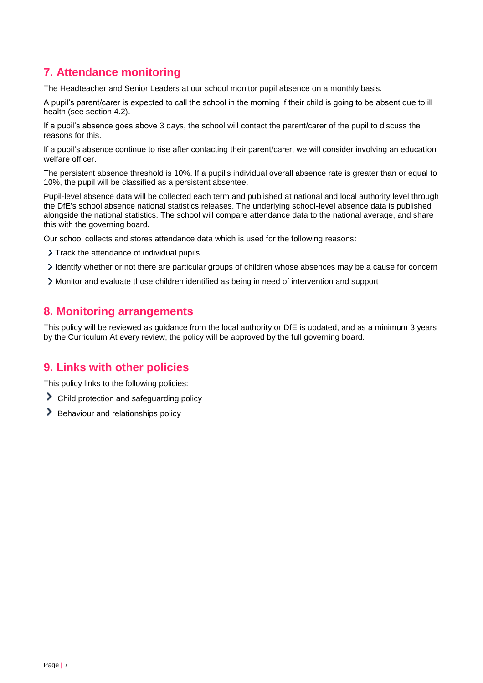## <span id="page-6-0"></span>**7. Attendance monitoring**

The Headteacher and Senior Leaders at our school monitor pupil absence on a monthly basis.

A pupil's parent/carer is expected to call the school in the morning if their child is going to be absent due to ill health (see section 4.2).

If a pupil's absence goes above 3 days, the school will contact the parent/carer of the pupil to discuss the reasons for this.

If a pupil's absence continue to rise after contacting their parent/carer, we will consider involving an education welfare officer.

The persistent absence threshold is 10%. If a pupil's individual overall absence rate is greater than or equal to 10%, the pupil will be classified as a persistent absentee.

Pupil-level absence data will be collected each term and published at national and local authority level through the DfE's school absence national statistics releases. The underlying school-level absence data is published alongside the national statistics. The school will compare attendance data to the national average, and share this with the governing board.

Our school collects and stores attendance data which is used for the following reasons:

- > Track the attendance of individual pupils
- Identify whether or not there are particular groups of children whose absences may be a cause for concern
- Monitor and evaluate those children identified as being in need of intervention and support

## <span id="page-6-1"></span>**8. Monitoring arrangements**

This policy will be reviewed as guidance from the local authority or DfE is updated, and as a minimum 3 years by the Curriculum At every review, the policy will be approved by the full governing board.

## <span id="page-6-2"></span>**9. Links with other policies**

This policy links to the following policies:

- Child protection and safeguarding policy
- <span id="page-6-3"></span> $\blacktriangleright$  Behaviour and relationships policy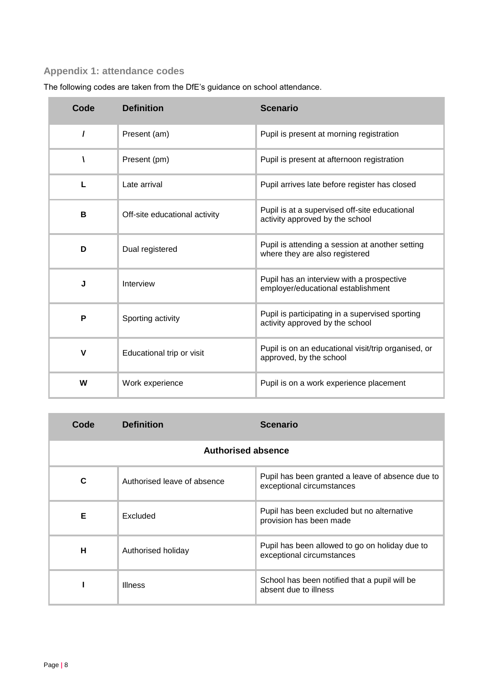# **Appendix 1: attendance codes**

| Code     | <b>Definition</b>             | <b>Scenario</b>                                                                    |
|----------|-------------------------------|------------------------------------------------------------------------------------|
| $\prime$ | Present (am)                  | Pupil is present at morning registration                                           |
|          | Present (pm)                  | Pupil is present at afternoon registration                                         |
| L        | Late arrival                  | Pupil arrives late before register has closed                                      |
| B        | Off-site educational activity | Pupil is at a supervised off-site educational<br>activity approved by the school   |
| D        | Dual registered               | Pupil is attending a session at another setting<br>where they are also registered  |
| J        | Interview                     | Pupil has an interview with a prospective<br>employer/educational establishment    |
| P        | Sporting activity             | Pupil is participating in a supervised sporting<br>activity approved by the school |
| v        | Educational trip or visit     | Pupil is on an educational visit/trip organised, or<br>approved, by the school     |
| W        | Work experience               | Pupil is on a work experience placement                                            |

The following codes are taken from the DfE's guidance on school attendance.

| Code                      | <b>Definition</b>           | Scenario                                                                      |
|---------------------------|-----------------------------|-------------------------------------------------------------------------------|
| <b>Authorised absence</b> |                             |                                                                               |
| C                         | Authorised leave of absence | Pupil has been granted a leave of absence due to<br>exceptional circumstances |
| Е                         | Excluded                    | Pupil has been excluded but no alternative<br>provision has been made         |
| н                         | Authorised holiday          | Pupil has been allowed to go on holiday due to<br>exceptional circumstances   |
|                           | <b>Illness</b>              | School has been notified that a pupil will be<br>absent due to illness        |